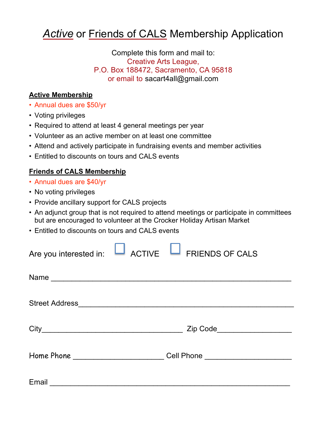## **Active** or Friends of CALS Membership Application

Complete this form and mail to: Creative Arts League, P.O. Box 188472, Sacramento, CA 95818 or email to sacart4all@gmail.com

## **Active Membership**

- ! Annual dues are \$50/yr
- Voting privileges
- Required to attend at least 4 general meetings per year
- ! Volunteer as an active member on at least one committee
- ! Attend and actively participate in fundraising events and member activities
- ! Entitled to discounts on tours and CALS events

## **Friends of CALS Membership**

- ! Annual dues are \$40/yr
- No voting privileges
- Provide ancillary support for CALS projects
- ! An adjunct group that is not required to attend meetings or participate in committees but are encouraged to volunteer at the Crocker Holiday Artisan Market
- ! Entitled to discounts on tours and CALS events

|       | Are you interested in: $\Box$ ACTIVE $\Box$ FRIENDS OF CALS |  |
|-------|-------------------------------------------------------------|--|
|       |                                                             |  |
|       |                                                             |  |
|       | Zip Code_____________________                               |  |
|       | Cell Phone _______________________                          |  |
| Email |                                                             |  |